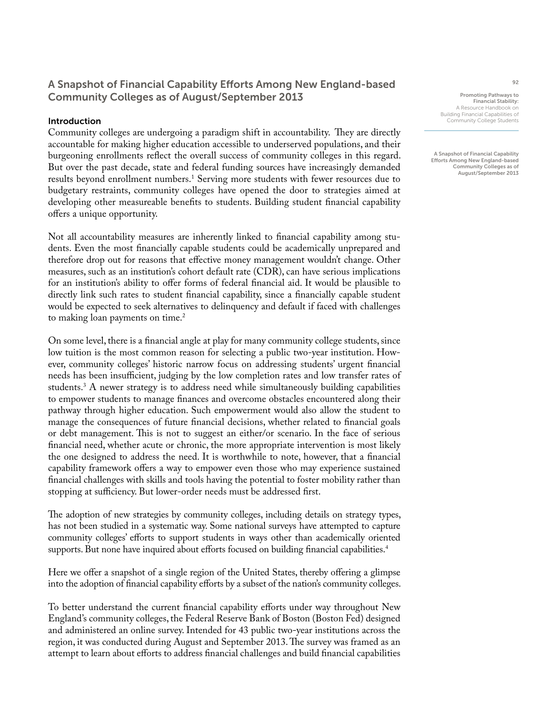## A Snapshot of Financial Capability Efforts Among New England-based Community Colleges as of August/September 2013

### Introduction

Community colleges are undergoing a paradigm shift in accountability. They are directly accountable for making higher education accessible to underserved populations, and their burgeoning enrollments reflect the overall success of community colleges in this regard. But over the past decade, state and federal funding sources have increasingly demanded results beyond enrollment numbers.<sup>1</sup> Serving more students with fewer resources due to budgetary restraints, community colleges have opened the door to strategies aimed at developing other measureable benefits to students. Building student financial capability offers a unique opportunity.

Not all accountability measures are inherently linked to financial capability among students. Even the most financially capable students could be academically unprepared and therefore drop out for reasons that effective money management wouldn't change. Other measures, such as an institution's cohort default rate (CDR), can have serious implications for an institution's ability to offer forms of federal financial aid. It would be plausible to directly link such rates to student financial capability, since a financially capable student would be expected to seek alternatives to delinquency and default if faced with challenges to making loan payments on time.<sup>2</sup>

On some level, there is a financial angle at play for many community college students, since low tuition is the most common reason for selecting a public two-year institution. However, community colleges' historic narrow focus on addressing students' urgent financial needs has been insufficient, judging by the low completion rates and low transfer rates of students.3 A newer strategy is to address need while simultaneously building capabilities to empower students to manage finances and overcome obstacles encountered along their pathway through higher education. Such empowerment would also allow the student to manage the consequences of future financial decisions, whether related to financial goals or debt management. This is not to suggest an either/or scenario. In the face of serious financial need, whether acute or chronic, the more appropriate intervention is most likely the one designed to address the need. It is worthwhile to note, however, that a financial capability framework offers a way to empower even those who may experience sustained financial challenges with skills and tools having the potential to foster mobility rather than stopping at sufficiency. But lower-order needs must be addressed first.

The adoption of new strategies by community colleges, including details on strategy types, has not been studied in a systematic way. Some national surveys have attempted to capture community colleges' efforts to support students in ways other than academically oriented supports. But none have inquired about efforts focused on building financial capabilities.<sup>4</sup>

Here we offer a snapshot of a single region of the United States, thereby offering a glimpse into the adoption of financial capability efforts by a subset of the nation's community colleges.

To better understand the current financial capability efforts under way throughout New England's community colleges, the Federal Reserve Bank of Boston (Boston Fed) designed and administered an online survey. Intended for 43 public two-year institutions across the region, it was conducted during August and September 2013. The survey was framed as an attempt to learn about efforts to address financial challenges and build financial capabilities

Promoting Pathways to Financial Stability: A Resource Handbook on Building Financial Capabilities of Community College Students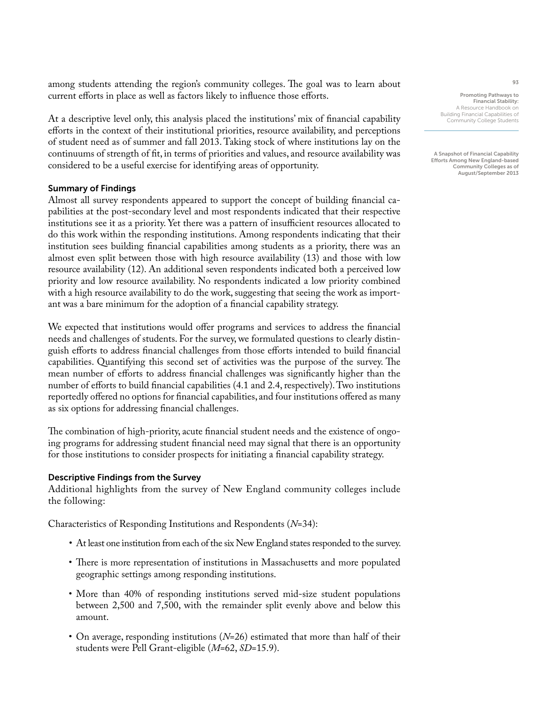among students attending the region's community colleges. The goal was to learn about current efforts in place as well as factors likely to influence those efforts.

At a descriptive level only, this analysis placed the institutions' mix of financial capability efforts in the context of their institutional priorities, resource availability, and perceptions of student need as of summer and fall 2013. Taking stock of where institutions lay on the continuums of strength of fit, in terms of priorities and values, and resource availability was considered to be a useful exercise for identifying areas of opportunity.

### Summary of Findings

Almost all survey respondents appeared to support the concept of building financial capabilities at the post-secondary level and most respondents indicated that their respective institutions see it as a priority. Yet there was a pattern of insufficient resources allocated to do this work within the responding institutions. Among respondents indicating that their institution sees building financial capabilities among students as a priority, there was an almost even split between those with high resource availability (13) and those with low resource availability (12). An additional seven respondents indicated both a perceived low priority and low resource availability. No respondents indicated a low priority combined with a high resource availability to do the work, suggesting that seeing the work as important was a bare minimum for the adoption of a financial capability strategy.

We expected that institutions would offer programs and services to address the financial needs and challenges of students. For the survey, we formulated questions to clearly distinguish efforts to address financial challenges from those efforts intended to build financial capabilities. Quantifying this second set of activities was the purpose of the survey. The mean number of efforts to address financial challenges was significantly higher than the number of efforts to build financial capabilities (4.1 and 2.4, respectively). Two institutions reportedly offered no options for financial capabilities, and four institutions offered as many as six options for addressing financial challenges.

The combination of high-priority, acute financial student needs and the existence of ongoing programs for addressing student financial need may signal that there is an opportunity for those institutions to consider prospects for initiating a financial capability strategy.

#### Descriptive Findings from the Survey

Additional highlights from the survey of New England community colleges include the following:

Characteristics of Responding Institutions and Respondents (*N*=34):

- At least one institution from each of the six New England states responded to the survey.
- There is more representation of institutions in Massachusetts and more populated geographic settings among responding institutions.
- More than 40% of responding institutions served mid-size student populations between 2,500 and 7,500, with the remainder split evenly above and below this amount.
- On average, responding institutions (*N*=26) estimated that more than half of their students were Pell Grant-eligible (*M*=62, *SD*=15.9).

Promoting Pathways to Financial Stability: A Resource Handbook on Building Financial Capabilities of Community College Students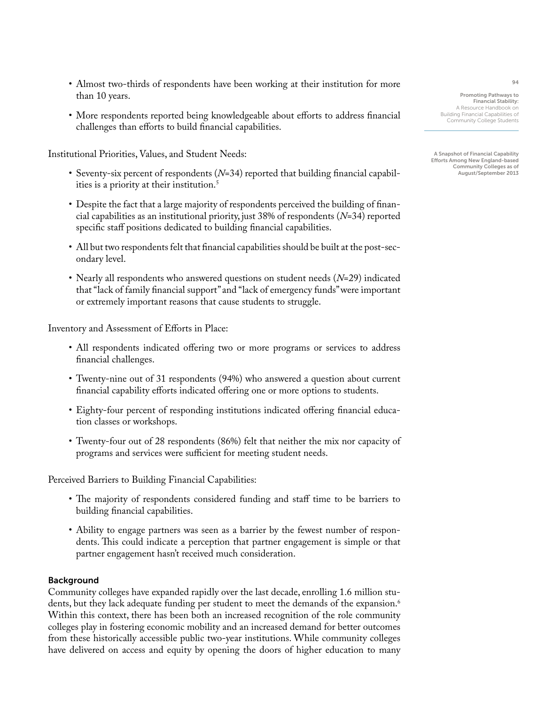- Almost two-thirds of respondents have been working at their institution for more than 10 years.
- More respondents reported being knowledgeable about efforts to address financial challenges than efforts to build financial capabilities.

Institutional Priorities, Values, and Student Needs:

- Seventy-six percent of respondents (*N*=34) reported that building financial capabilities is a priority at their institution.<sup>5</sup>
- Despite the fact that a large majority of respondents perceived the building of financial capabilities as an institutional priority, just 38% of respondents (*N*=34) reported specific staff positions dedicated to building financial capabilities.
- All but two respondents felt that financial capabilities should be built at the post-secondary level.
- Nearly all respondents who answered questions on student needs (*N*=29) indicated that "lack of family financial support" and "lack of emergency funds" were important or extremely important reasons that cause students to struggle.

Inventory and Assessment of Efforts in Place:

- All respondents indicated offering two or more programs or services to address financial challenges.
- Twenty-nine out of 31 respondents (94%) who answered a question about current financial capability efforts indicated offering one or more options to students.
- Eighty-four percent of responding institutions indicated offering financial education classes or workshops.
- Twenty-four out of 28 respondents (86%) felt that neither the mix nor capacity of programs and services were sufficient for meeting student needs.

Perceived Barriers to Building Financial Capabilities:

- The majority of respondents considered funding and staff time to be barriers to building financial capabilities.
- Ability to engage partners was seen as a barrier by the fewest number of respondents. This could indicate a perception that partner engagement is simple or that partner engagement hasn't received much consideration.

### Background

Community colleges have expanded rapidly over the last decade, enrolling 1.6 million students, but they lack adequate funding per student to meet the demands of the expansion.<sup>6</sup> Within this context, there has been both an increased recognition of the role community colleges play in fostering economic mobility and an increased demand for better outcomes from these historically accessible public two-year institutions. While community colleges have delivered on access and equity by opening the doors of higher education to many

Promoting Pathways to Financial Stability: A Resource Handbook on Building Financial Capabilities of Community College Students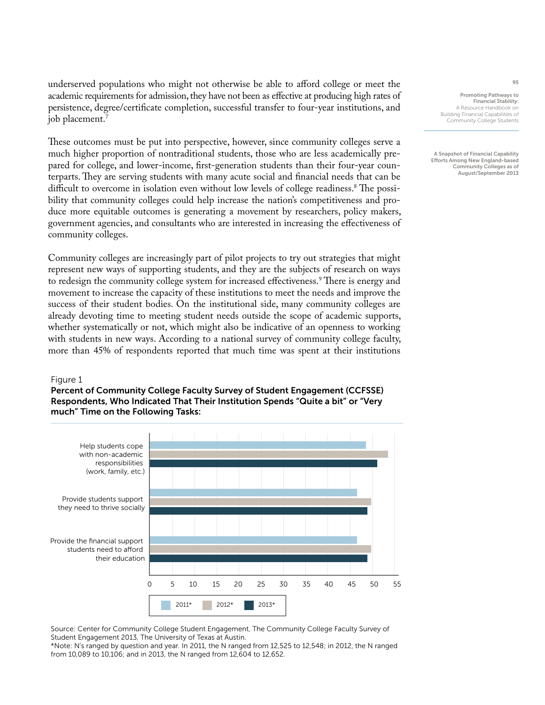underserved populations who might not otherwise be able to afford college or meet the academic requirements for admission, they have not been as effective at producing high rates of persistence, degree/certificate completion, successful transfer to four-year institutions, and job placement.7

These outcomes must be put into perspective, however, since community colleges serve a much higher proportion of nontraditional students, those who are less academically prepared for college, and lower-income, first-generation students than their four-year counterparts. They are serving students with many acute social and financial needs that can be difficult to overcome in isolation even without low levels of college readiness.8 The possibility that community colleges could help increase the nation's competitiveness and produce more equitable outcomes is generating a movement by researchers, policy makers, government agencies, and consultants who are interested in increasing the effectiveness of community colleges.

Community colleges are increasingly part of pilot projects to try out strategies that might represent new ways of supporting students, and they are the subjects of research on ways to redesign the community college system for increased effectiveness.<sup>9</sup> There is energy and movement to increase the capacity of these institutions to meet the needs and improve the success of their student bodies. On the institutional side, many community colleges are already devoting time to meeting student needs outside the scope of academic supports, whether systematically or not, which might also be indicative of an openness to working with students in new ways. According to a national survey of community college faculty, more than 45% of respondents reported that much time was spent at their institutions

#### Figure 1

Percent of Community College Faculty Survey of Student Engagement (CCFSSE) Respondents, Who Indicated That Their Institution Spends "Quite a bit" or "Very much" Time on the Following Tasks:



Source: Center for Community College Student Engagement, The Community College Faculty Survey of Student Engagement 2013, The University of Texas at Austin. \*Note: N's ranged by question and year. In 2011, the N ranged from 12,525 to 12,548; in 2012, the N ranged

Promoting Pathways to Financial Stability: A Resource Handbook on Building Financial Capabilities of

Community College Students

A Snapshot of Financial Capability Efforts Among New England-based Community Colleges as of August/September 2013

from 10,089 to 10,106; and in 2013, the N ranged from 12,604 to 12,652.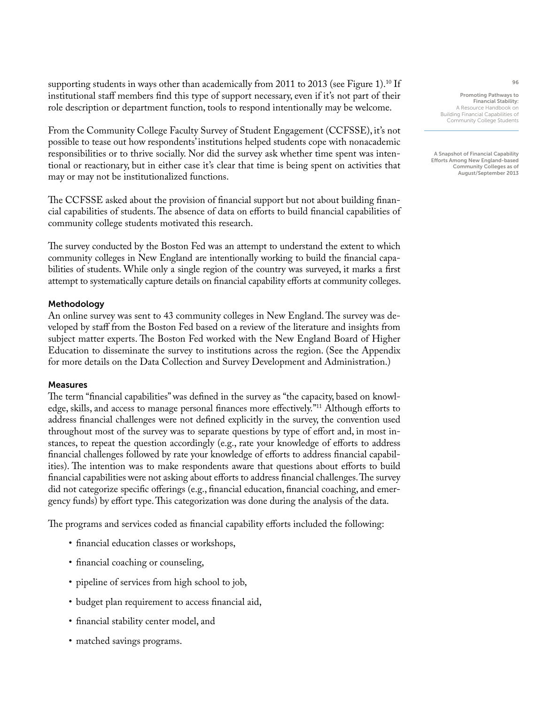supporting students in ways other than academically from 2011 to 2013 (see Figure 1).<sup>10</sup> If institutional staff members find this type of support necessary, even if it's not part of their role description or department function, tools to respond intentionally may be welcome.

From the Community College Faculty Survey of Student Engagement (CCFSSE), it's not possible to tease out how respondents' institutions helped students cope with nonacademic responsibilities or to thrive socially. Nor did the survey ask whether time spent was intentional or reactionary, but in either case it's clear that time is being spent on activities that may or may not be institutionalized functions.

The CCFSSE asked about the provision of financial support but not about building financial capabilities of students. The absence of data on efforts to build financial capabilities of community college students motivated this research.

The survey conducted by the Boston Fed was an attempt to understand the extent to which community colleges in New England are intentionally working to build the financial capabilities of students. While only a single region of the country was surveyed, it marks a first attempt to systematically capture details on financial capability efforts at community colleges.

### Methodology

An online survey was sent to 43 community colleges in New England. The survey was developed by staff from the Boston Fed based on a review of the literature and insights from subject matter experts. The Boston Fed worked with the New England Board of Higher Education to disseminate the survey to institutions across the region. (See the Appendix for more details on the Data Collection and Survey Development and Administration.)

### Measures

The term "financial capabilities" was defined in the survey as "the capacity, based on knowledge, skills, and access to manage personal finances more effectively."11 Although efforts to address financial challenges were not defined explicitly in the survey, the convention used throughout most of the survey was to separate questions by type of effort and, in most instances, to repeat the question accordingly (e.g., rate your knowledge of efforts to address financial challenges followed by rate your knowledge of efforts to address financial capabilities). The intention was to make respondents aware that questions about efforts to build financial capabilities were not asking about efforts to address financial challenges. The survey did not categorize specific offerings (e.g., financial education, financial coaching, and emergency funds) by effort type. This categorization was done during the analysis of the data.

The programs and services coded as financial capability efforts included the following:

- financial education classes or workshops,
- financial coaching or counseling,
- pipeline of services from high school to job,
- budget plan requirement to access financial aid,
- financial stability center model, and
- matched savings programs.

Promoting Pathways to Financial Stability: A Resource Handbook on Building Financial Capabilities of Community College Students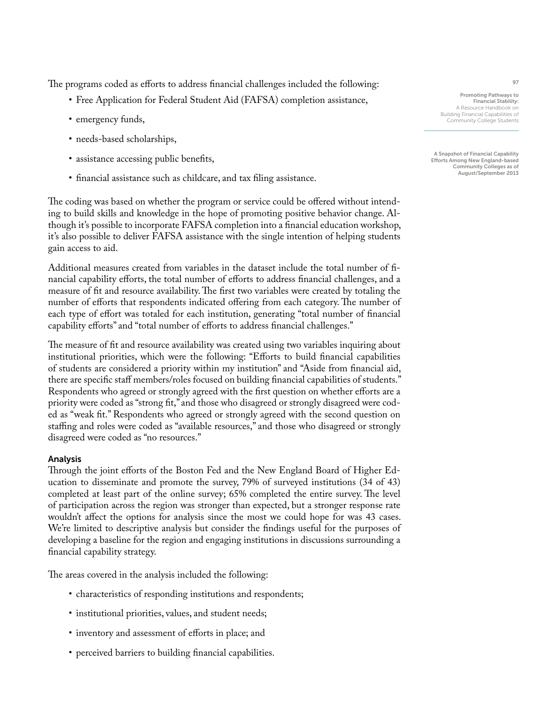The programs coded as efforts to address financial challenges included the following:

- Free Application for Federal Student Aid (FAFSA) completion assistance,
- emergency funds,
- needs-based scholarships,
- assistance accessing public benefits,
- financial assistance such as childcare, and tax filing assistance.

The coding was based on whether the program or service could be offered without intending to build skills and knowledge in the hope of promoting positive behavior change. Although it's possible to incorporate FAFSA completion into a financial education workshop, it's also possible to deliver FAFSA assistance with the single intention of helping students gain access to aid.

Additional measures created from variables in the dataset include the total number of financial capability efforts, the total number of efforts to address financial challenges, and a measure of fit and resource availability. The first two variables were created by totaling the number of efforts that respondents indicated offering from each category. The number of each type of effort was totaled for each institution, generating "total number of financial capability efforts" and "total number of efforts to address financial challenges."

The measure of fit and resource availability was created using two variables inquiring about institutional priorities, which were the following: "Efforts to build financial capabilities of students are considered a priority within my institution" and "Aside from financial aid, there are specific staff members/roles focused on building financial capabilities of students." Respondents who agreed or strongly agreed with the first question on whether efforts are a priority were coded as "strong fit," and those who disagreed or strongly disagreed were coded as "weak fit." Respondents who agreed or strongly agreed with the second question on staffing and roles were coded as "available resources," and those who disagreed or strongly disagreed were coded as "no resources."

### Analysis

Through the joint efforts of the Boston Fed and the New England Board of Higher Education to disseminate and promote the survey, 79% of surveyed institutions (34 of 43) completed at least part of the online survey; 65% completed the entire survey. The level of participation across the region was stronger than expected, but a stronger response rate wouldn't affect the options for analysis since the most we could hope for was 43 cases. We're limited to descriptive analysis but consider the findings useful for the purposes of developing a baseline for the region and engaging institutions in discussions surrounding a financial capability strategy.

The areas covered in the analysis included the following:

- characteristics of responding institutions and respondents;
- institutional priorities, values, and student needs;
- inventory and assessment of efforts in place; and
- perceived barriers to building financial capabilities.

Promoting Pathways to Financial Stability: A Resource Handbook on Building Financial Capabilities of Community College Students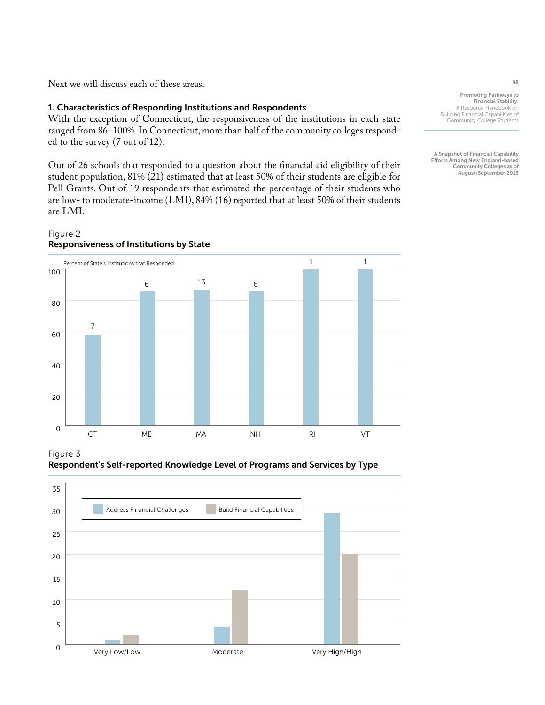Next we will discuss each of these areas.

### 1. Characteristics of Responding Institutions and Respondents

With the exception of Connecticut, the responsiveness of the institutions in each state ranged from 86–100%. In Connecticut, more than half of the community colleges responded to the survey (7 out of 12).

Out of 26 schools that responded to a question about the financial aid eligibility of their student population, 81% (21) estimated that at least 50% of their students are eligible for Pell Grants. Out of 19 respondents that estimated the percentage of their students who are low- to moderate-income (LMI), 84% (16) reported that at least 50% of their students are LMI.

### Figure 2 Responsiveness of Institutions by State



Figure 3

Respondent's Self-reported Knowledge Level of Programs and Services by Type



Promoting Pathways to Financial Stability: A Resource Handbook on Building Financial Capabilities of Community College Students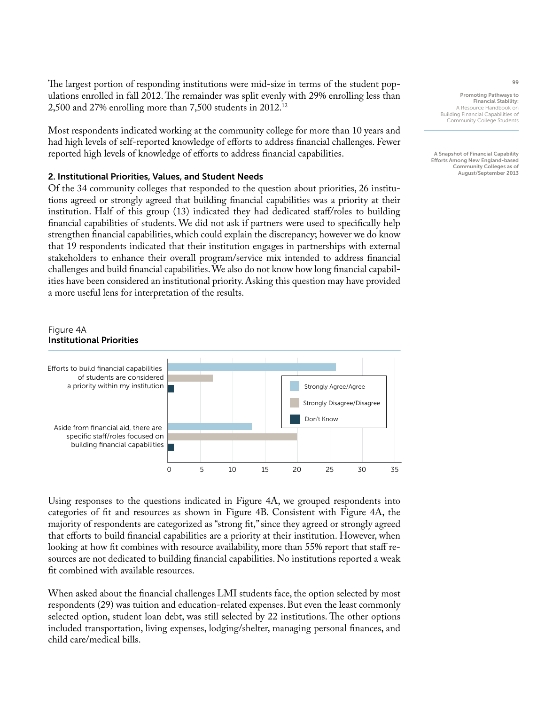The largest portion of responding institutions were mid-size in terms of the student populations enrolled in fall 2012. The remainder was split evenly with 29% enrolling less than 2,500 and 27% enrolling more than 7,500 students in 2012.12

Most respondents indicated working at the community college for more than 10 years and had high levels of self-reported knowledge of efforts to address financial challenges. Fewer reported high levels of knowledge of efforts to address financial capabilities.

### 2. Institutional Priorities, Values, and Student Needs

Of the 34 community colleges that responded to the question about priorities, 26 institutions agreed or strongly agreed that building financial capabilities was a priority at their institution. Half of this group (13) indicated they had dedicated staff/roles to building financial capabilities of students. We did not ask if partners were used to specifically help strengthen financial capabilities, which could explain the discrepancy; however we do know that 19 respondents indicated that their institution engages in partnerships with external stakeholders to enhance their overall program/service mix intended to address financial challenges and build financial capabilities. We also do not know how long financial capabilities have been considered an institutional priority. Asking this question may have provided a more useful lens for interpretation of the results.

### Figure 4A Institutional Priorities



Using responses to the questions indicated in Figure 4A, we grouped respondents into categories of fit and resources as shown in Figure 4B. Consistent with Figure 4A, the majority of respondents are categorized as "strong fit," since they agreed or strongly agreed that efforts to build financial capabilities are a priority at their institution. However, when looking at how fit combines with resource availability, more than 55% report that staff resources are not dedicated to building financial capabilities. No institutions reported a weak fit combined with available resources.

When asked about the financial challenges LMI students face, the option selected by most respondents (29) was tuition and education-related expenses. But even the least commonly selected option, student loan debt, was still selected by 22 institutions. The other options included transportation, living expenses, lodging/shelter, managing personal finances, and child care/medical bills.

Promoting Pathways to Financial Stability: A Resource Handbook on Building Financial Capabilities of Community College Students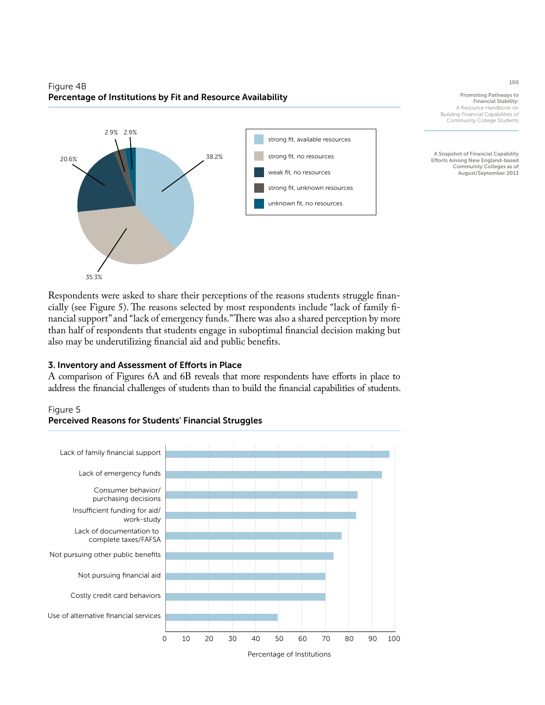### Figure 4B Percentage of Institutions by Fit and Resource Availability



Promoting Pathways to Financial Stability: A Resource Handbook on Building Financial Capabilities of Community College Students

A Snapshot of Financial Capability Efforts Among New England-based Community Colleges as of August/September 2013

Respondents were asked to share their perceptions of the reasons students struggle financially (see Figure 5). The reasons selected by most respondents include "lack of family financial support" and "lack of emergency funds." There was also a shared perception by more than half of respondents that students engage in suboptimal financial decision making but also may be underutilizing financial aid and public benefits.

## 3. Inventory and Assessment of Efforts in Place

A comparison of Figures 6A and 6B reveals that more respondents have efforts in place to address the financial challenges of students than to build the financial capabilities of students.





## Perceived Reasons for Students' Financial Struggles

100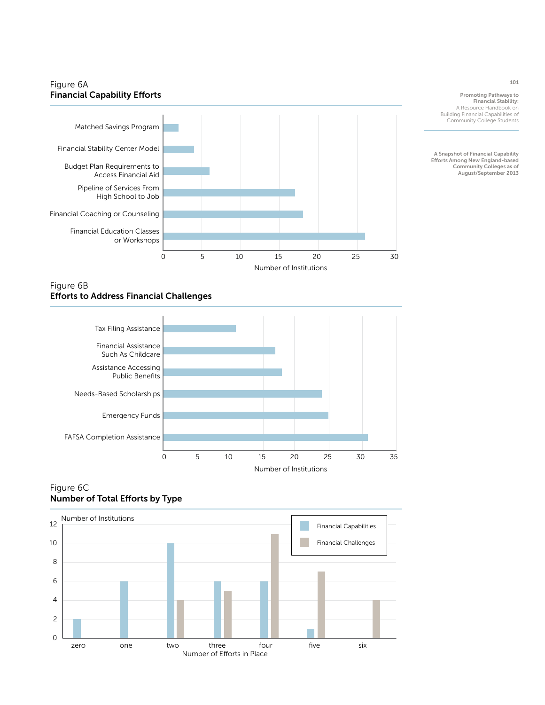## Figure 6A **Financial Capability Efforts**



Promoting Pathways to Financial Stability: A Resource Handbook on Building Financial Capabilities of Community College Students

A Snapshot of Financial Capability Efforts Among New England-based Community Colleges as of August/September 2013

### Figure 6B **Efforts to Address Financial Challenges**



## Figure 6C Number of Total Efforts by Type

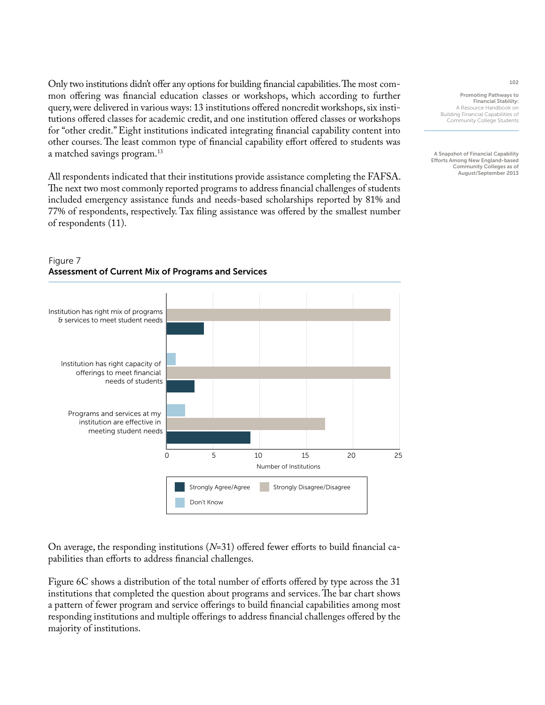Only two institutions didn't offer any options for building financial capabilities. The most common offering was financial education classes or workshops, which according to further query, were delivered in various ways: 13 institutions offered noncredit workshops, six institutions offered classes for academic credit, and one institution offered classes or workshops for "other credit." Eight institutions indicated integrating financial capability content into other courses. The least common type of financial capability effort offered to students was a matched savings program.13

All respondents indicated that their institutions provide assistance completing the FAFSA. The next two most commonly reported programs to address financial challenges of students included emergency assistance funds and needs-based scholarships reported by 81% and 77% of respondents, respectively. Tax filing assistance was offered by the smallest number of respondents (11).

Promoting Pathways to Financial Stability: A Resource Handbook on Building Financial Capabilities of Community College Students

A Snapshot of Financial Capability Efforts Among New England-based Community Colleges as of August/September 2013



## Figure 7 Assessment of Current Mix of Programs and Services

On average, the responding institutions (*N*=31) offered fewer efforts to build financial capabilities than efforts to address financial challenges.

Figure 6C shows a distribution of the total number of efforts offered by type across the 31 institutions that completed the question about programs and services. The bar chart shows a pattern of fewer program and service offerings to build financial capabilities among most responding institutions and multiple offerings to address financial challenges offered by the majority of institutions.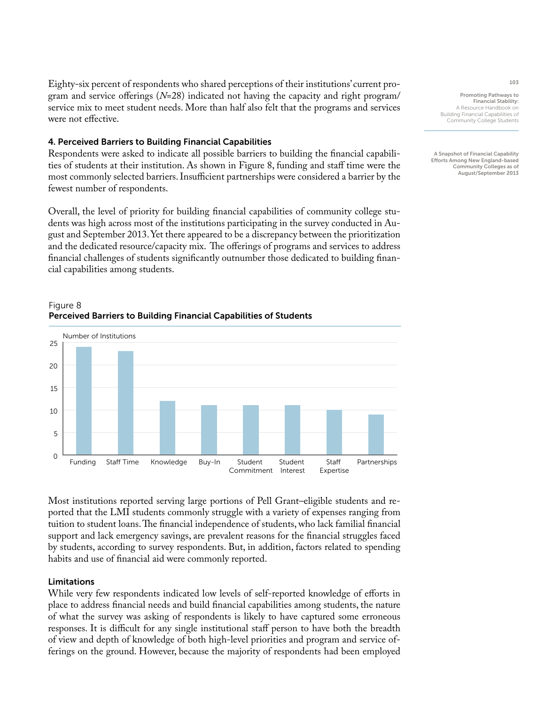Eighty-six percent of respondents who shared perceptions of their institutions' current program and service offerings (*N*=28) indicated not having the capacity and right program/ service mix to meet student needs. More than half also felt that the programs and services were not effective.

### 4. Perceived Barriers to Building Financial Capabilities

Respondents were asked to indicate all possible barriers to building the financial capabilities of students at their institution. As shown in Figure 8, funding and staff time were the most commonly selected barriers. Insufficient partnerships were considered a barrier by the fewest number of respondents.

Overall, the level of priority for building financial capabilities of community college students was high across most of the institutions participating in the survey conducted in August and September 2013. Yet there appeared to be a discrepancy between the prioritization and the dedicated resource/capacity mix. The offerings of programs and services to address financial challenges of students significantly outnumber those dedicated to building financial capabilities among students.



## Figure 8 Perceived Barriers to Building Financial Capabilities of Students

Most institutions reported serving large portions of Pell Grant–eligible students and reported that the LMI students commonly struggle with a variety of expenses ranging from tuition to student loans. The financial independence of students, who lack familial financial support and lack emergency savings, are prevalent reasons for the financial struggles faced by students, according to survey respondents. But, in addition, factors related to spending habits and use of financial aid were commonly reported.

### Limitations

While very few respondents indicated low levels of self-reported knowledge of efforts in place to address financial needs and build financial capabilities among students, the nature of what the survey was asking of respondents is likely to have captured some erroneous responses. It is difficult for any single institutional staff person to have both the breadth of view and depth of knowledge of both high-level priorities and program and service offerings on the ground. However, because the majority of respondents had been employed 103

Promoting Pathways to Financial Stability: A Resource Handbook on Building Financial Capabilities of Community College Students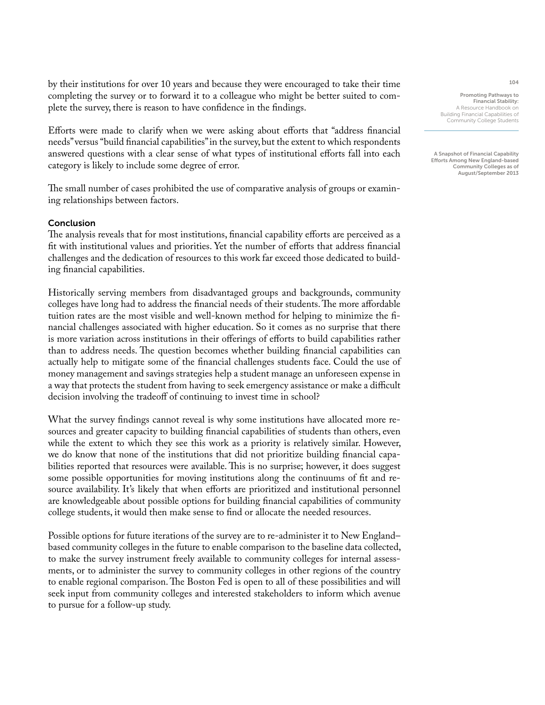by their institutions for over 10 years and because they were encouraged to take their time completing the survey or to forward it to a colleague who might be better suited to complete the survey, there is reason to have confidence in the findings.

Efforts were made to clarify when we were asking about efforts that "address financial needs" versus "build financial capabilities" in the survey, but the extent to which respondents answered questions with a clear sense of what types of institutional efforts fall into each category is likely to include some degree of error.

The small number of cases prohibited the use of comparative analysis of groups or examining relationships between factors.

### Conclusion

The analysis reveals that for most institutions, financial capability efforts are perceived as a fit with institutional values and priorities. Yet the number of efforts that address financial challenges and the dedication of resources to this work far exceed those dedicated to building financial capabilities.

Historically serving members from disadvantaged groups and backgrounds, community colleges have long had to address the financial needs of their students. The more affordable tuition rates are the most visible and well-known method for helping to minimize the financial challenges associated with higher education. So it comes as no surprise that there is more variation across institutions in their offerings of efforts to build capabilities rather than to address needs. The question becomes whether building financial capabilities can actually help to mitigate some of the financial challenges students face. Could the use of money management and savings strategies help a student manage an unforeseen expense in a way that protects the student from having to seek emergency assistance or make a difficult decision involving the tradeoff of continuing to invest time in school?

What the survey findings cannot reveal is why some institutions have allocated more resources and greater capacity to building financial capabilities of students than others, even while the extent to which they see this work as a priority is relatively similar. However, we do know that none of the institutions that did not prioritize building financial capabilities reported that resources were available. This is no surprise; however, it does suggest some possible opportunities for moving institutions along the continuums of fit and resource availability. It's likely that when efforts are prioritized and institutional personnel are knowledgeable about possible options for building financial capabilities of community college students, it would then make sense to find or allocate the needed resources.

Possible options for future iterations of the survey are to re-administer it to New England– based community colleges in the future to enable comparison to the baseline data collected, to make the survey instrument freely available to community colleges for internal assessments, or to administer the survey to community colleges in other regions of the country to enable regional comparison. The Boston Fed is open to all of these possibilities and will seek input from community colleges and interested stakeholders to inform which avenue to pursue for a follow-up study.

Promoting Pathways to Financial Stability:

A Resource Handbook on Building Financial Capabilities of Community College Students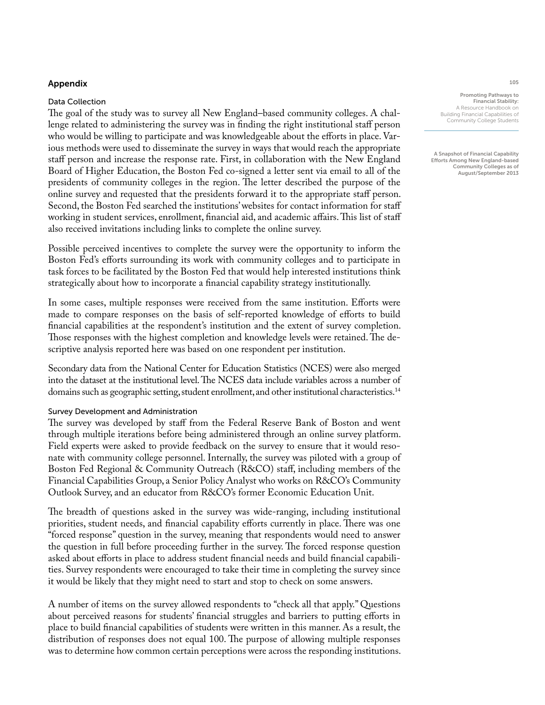### Appendix

### Data Collection

The goal of the study was to survey all New England–based community colleges. A challenge related to administering the survey was in finding the right institutional staff person who would be willing to participate and was knowledgeable about the efforts in place. Various methods were used to disseminate the survey in ways that would reach the appropriate staff person and increase the response rate. First, in collaboration with the New England Board of Higher Education, the Boston Fed co-signed a letter sent via email to all of the presidents of community colleges in the region. The letter described the purpose of the online survey and requested that the presidents forward it to the appropriate staff person. Second, the Boston Fed searched the institutions' websites for contact information for staff working in student services, enrollment, financial aid, and academic affairs. This list of staff also received invitations including links to complete the online survey.

Possible perceived incentives to complete the survey were the opportunity to inform the Boston Fed's efforts surrounding its work with community colleges and to participate in task forces to be facilitated by the Boston Fed that would help interested institutions think strategically about how to incorporate a financial capability strategy institutionally.

In some cases, multiple responses were received from the same institution. Efforts were made to compare responses on the basis of self-reported knowledge of efforts to build financial capabilities at the respondent's institution and the extent of survey completion. Those responses with the highest completion and knowledge levels were retained. The descriptive analysis reported here was based on one respondent per institution.

Secondary data from the National Center for Education Statistics (NCES) were also merged into the dataset at the institutional level. The NCES data include variables across a number of domains such as geographic setting, student enrollment, and other institutional characteristics.<sup>14</sup>

### Survey Development and Administration

The survey was developed by staff from the Federal Reserve Bank of Boston and went through multiple iterations before being administered through an online survey platform. Field experts were asked to provide feedback on the survey to ensure that it would resonate with community college personnel. Internally, the survey was piloted with a group of Boston Fed Regional & Community Outreach (R&CO) staff, including members of the Financial Capabilities Group, a Senior Policy Analyst who works on R&CO's Community Outlook Survey, and an educator from R&CO's former Economic Education Unit.

The breadth of questions asked in the survey was wide-ranging, including institutional priorities, student needs, and financial capability efforts currently in place. There was one "forced response" question in the survey, meaning that respondents would need to answer the question in full before proceeding further in the survey. The forced response question asked about efforts in place to address student financial needs and build financial capabilities. Survey respondents were encouraged to take their time in completing the survey since it would be likely that they might need to start and stop to check on some answers.

A number of items on the survey allowed respondents to "check all that apply." Questions about perceived reasons for students' financial struggles and barriers to putting efforts in place to build financial capabilities of students were written in this manner. As a result, the distribution of responses does not equal 100. The purpose of allowing multiple responses was to determine how common certain perceptions were across the responding institutions.

Promoting Pathways to Financial Stability: A Resource Handbook on Building Financial Capabilities of Community College Students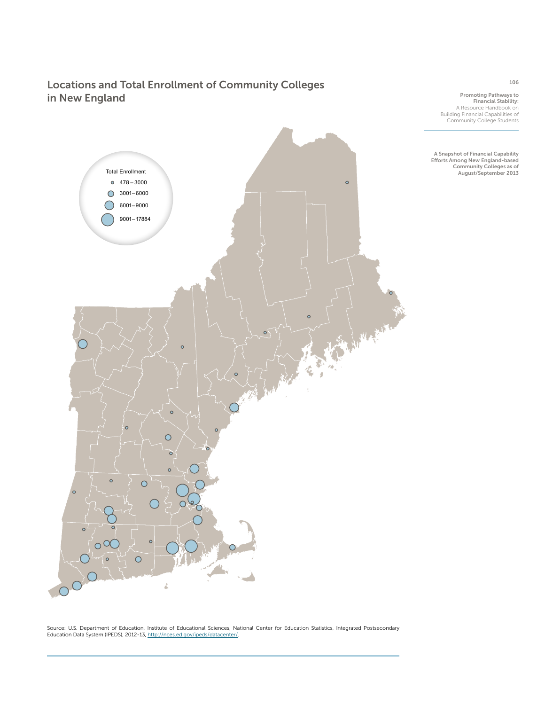# Locations and Total Enrollment of Community Colleges in New England

Promoting Pathways to Financial Stability: A Resource Handbook on Building Financial Capabilities of Community College Students

A Snapshot of Financial Capability Efforts Among New England-based Community Colleges as of August/September 2013

Source: U.S. Department of Education, Institute of Educational Sciences, National Center for Education Statistics, Integrated Postsecondary<br>Education Data System (IPEDS), 2012-13, <u>http://nces.ed.gov/ipeds/datacenter/</u>.



106